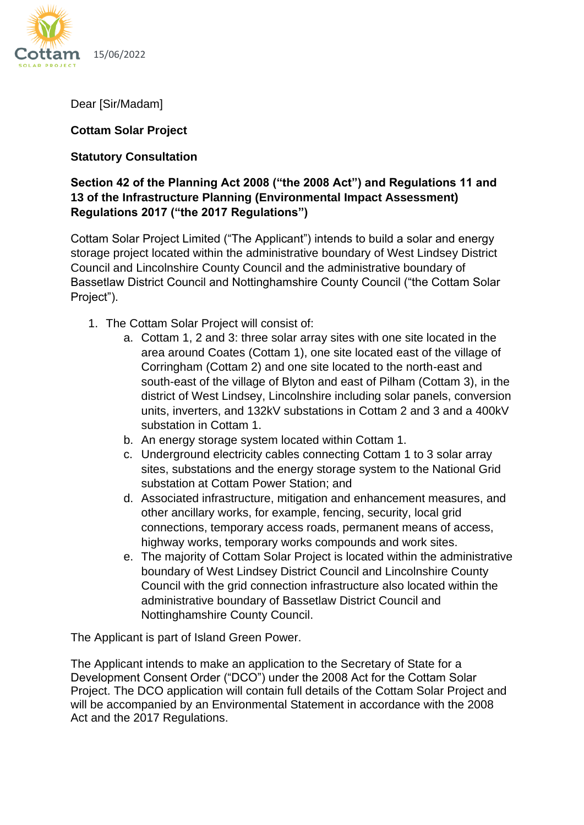

15/06/2022

Dear [Sir/Madam]

### **Cottam Solar Project**

# **Statutory Consultation**

# **Section 42 of the Planning Act 2008 ("the 2008 Act") and Regulations 11 and 13 of the Infrastructure Planning (Environmental Impact Assessment) Regulations 2017 ("the 2017 Regulations")**

Cottam Solar Project Limited ("The Applicant") intends to build a solar and energy storage project located within the administrative boundary of West Lindsey District Council and Lincolnshire County Council and the administrative boundary of Bassetlaw District Council and Nottinghamshire County Council ("the Cottam Solar Project").

- 1. The Cottam Solar Project will consist of:
	- a. Cottam 1, 2 and 3: three solar array sites with one site located in the area around Coates (Cottam 1), one site located east of the village of Corringham (Cottam 2) and one site located to the north-east and south-east of the village of Blyton and east of Pilham (Cottam 3), in the district of West Lindsey, Lincolnshire including solar panels, conversion units, inverters, and 132kV substations in Cottam 2 and 3 and a 400kV substation in Cottam 1.
	- b. An energy storage system located within Cottam 1.
	- c. Underground electricity cables connecting Cottam 1 to 3 solar array sites, substations and the energy storage system to the National Grid substation at Cottam Power Station; and
	- d. Associated infrastructure, mitigation and enhancement measures, and other ancillary works, for example, fencing, security, local grid connections, temporary access roads, permanent means of access, highway works, temporary works compounds and work sites.
	- e. The majority of Cottam Solar Project is located within the administrative boundary of West Lindsey District Council and Lincolnshire County Council with the grid connection infrastructure also located within the administrative boundary of Bassetlaw District Council and Nottinghamshire County Council.

The Applicant is part of Island Green Power.

The Applicant intends to make an application to the Secretary of State for a Development Consent Order ("DCO") under the 2008 Act for the Cottam Solar Project. The DCO application will contain full details of the Cottam Solar Project and will be accompanied by an Environmental Statement in accordance with the 2008 Act and the 2017 Regulations.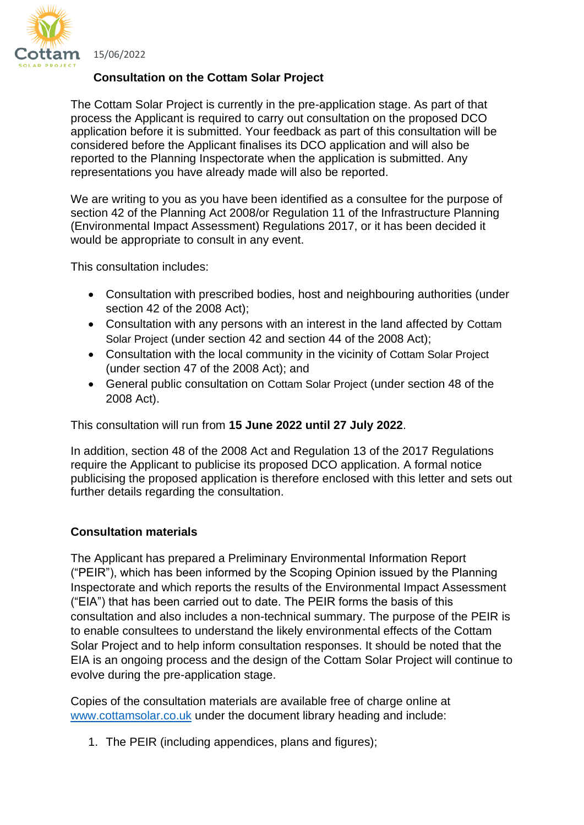

15/06/2022

### **Consultation on the Cottam Solar Project**

The Cottam Solar Project is currently in the pre-application stage. As part of that process the Applicant is required to carry out consultation on the proposed DCO application before it is submitted. Your feedback as part of this consultation will be considered before the Applicant finalises its DCO application and will also be reported to the Planning Inspectorate when the application is submitted. Any representations you have already made will also be reported.

We are writing to you as you have been identified as a consultee for the purpose of section 42 of the Planning Act 2008/or Regulation 11 of the Infrastructure Planning (Environmental Impact Assessment) Regulations 2017, or it has been decided it would be appropriate to consult in any event.

This consultation includes:

- Consultation with prescribed bodies, host and neighbouring authorities (under section 42 of the 2008 Act);
- Consultation with any persons with an interest in the land affected by Cottam Solar Project (under section 42 and section 44 of the 2008 Act);
- Consultation with the local community in the vicinity of Cottam Solar Project (under section 47 of the 2008 Act); and
- General public consultation on Cottam Solar Project (under section 48 of the 2008 Act).

This consultation will run from **15 June 2022 until 27 July 2022**.

In addition, section 48 of the 2008 Act and Regulation 13 of the 2017 Regulations require the Applicant to publicise its proposed DCO application. A formal notice publicising the proposed application is therefore enclosed with this letter and sets out further details regarding the consultation.

# **Consultation materials**

The Applicant has prepared a Preliminary Environmental Information Report ("PEIR"), which has been informed by the Scoping Opinion issued by the Planning Inspectorate and which reports the results of the Environmental Impact Assessment ("EIA") that has been carried out to date. The PEIR forms the basis of this consultation and also includes a non-technical summary. The purpose of the PEIR is to enable consultees to understand the likely environmental effects of the Cottam Solar Project and to help inform consultation responses. It should be noted that the EIA is an ongoing process and the design of the Cottam Solar Project will continue to evolve during the pre-application stage.

Copies of the consultation materials are available free of charge online at [www.cottamsolar.co.uk](http://www.cottamsolar.co.uk/) under the document library heading and include:

1. The PEIR (including appendices, plans and figures);